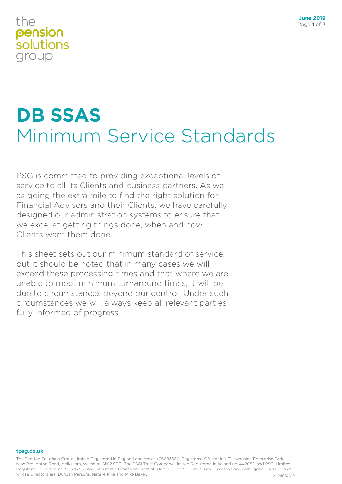### the pension solutions group

## **DB SSAS** Minimum Service Standards

PSG is committed to providing exceptional levels of service to all its Clients and business partners. As well as going the extra mile to find the right solution for Financial Advisers and their Clients, we have carefully designed our administration systems to ensure that we excel at getting things done, when and how Clients want them done.

This sheet sets out our minimum standard of service, but it should be noted that in many cases we will exceed these processing times and that where we are unable to meet minimum turnaround times, it will be due to circumstances beyond our control. Under such circumstances we will always keep all relevant parties fully informed of progress.

#### **tpsg.co.uk**

The Pension Solutions Group Limited Registered in England and Wales (06683561), Registered Office: Unit F1, Avonside Enterprise Park, New Broughton Road, Melksham, Wiltshire, SN12 8BT. The PSGi Trust Company Limited Registered in Ireland no. 442080 and PSGi Limited Registered in Ireland no. 503867 whose Registered Offices are both at: Unit 5B, Unit 5H, Fingal Bay Business Park, Balbriggan, Co. Dublin and whose Directors are: Duncan Parsons, Natalie Pike and Mike Baker. V104062019 V104062019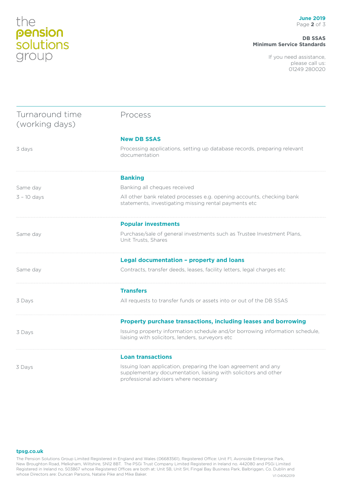# the<br>**pension**<br>**solutions**<br>group

#### **DB SSAS Minimum Service Standards**

If you need assistance, please call us: 01249 280020

| Turnaround time<br>(working days) | Process                                                                                                                                                                    |
|-----------------------------------|----------------------------------------------------------------------------------------------------------------------------------------------------------------------------|
|                                   | <b>New DB SSAS</b>                                                                                                                                                         |
| 3 days                            | Processing applications, setting up database records, preparing relevant<br>documentation                                                                                  |
|                                   | <b>Banking</b>                                                                                                                                                             |
| Same day                          | Banking all cheques received                                                                                                                                               |
| $3 - 10$ days                     | All other bank related processes e.g. opening accounts, checking bank<br>statements, investigating missing rental payments etc                                             |
|                                   | <b>Popular investments</b>                                                                                                                                                 |
| Same day                          | Purchase/sale of general investments such as Trustee Investment Plans,<br>Unit Trusts, Shares                                                                              |
|                                   | Legal documentation - property and loans                                                                                                                                   |
| Same day                          | Contracts, transfer deeds, leases, facility letters, legal charges etc                                                                                                     |
|                                   | <b>Transfers</b>                                                                                                                                                           |
| 3 Days                            | All requests to transfer funds or assets into or out of the DB SSAS                                                                                                        |
|                                   | Property purchase transactions, including leases and borrowing                                                                                                             |
| 3 Days                            | Issuing property information schedule and/or borrowing information schedule,<br>liaising with solicitors, lenders, surveyors etc                                           |
|                                   | <b>Loan transactions</b>                                                                                                                                                   |
| 3 Days                            | Issuing loan application, preparing the loan agreement and any<br>supplementary documentation, liaising with solicitors and other<br>professional advisers where necessary |

#### **tpsg.co.uk**

The Pension Solutions Group Limited Registered in England and Wales (06683561), Registered Office: Unit F1, Avonside Enterprise Park, New Broughton Road, Melksham, Wiltshire, SN12 8BT. The PSGi Trust Company Limited Registered in Ireland no. 442080 and PSGi Limited Registered in Ireland no. 503867 whose Registered Offices are both at: Unit 5B, Unit 5H, Fingal Bay Business Park, Balbriggan, Co. Dublin and whose Directors are: Duncan Parsons, Natalie Pike and Mike Baker. Victoria and Mike Baker.